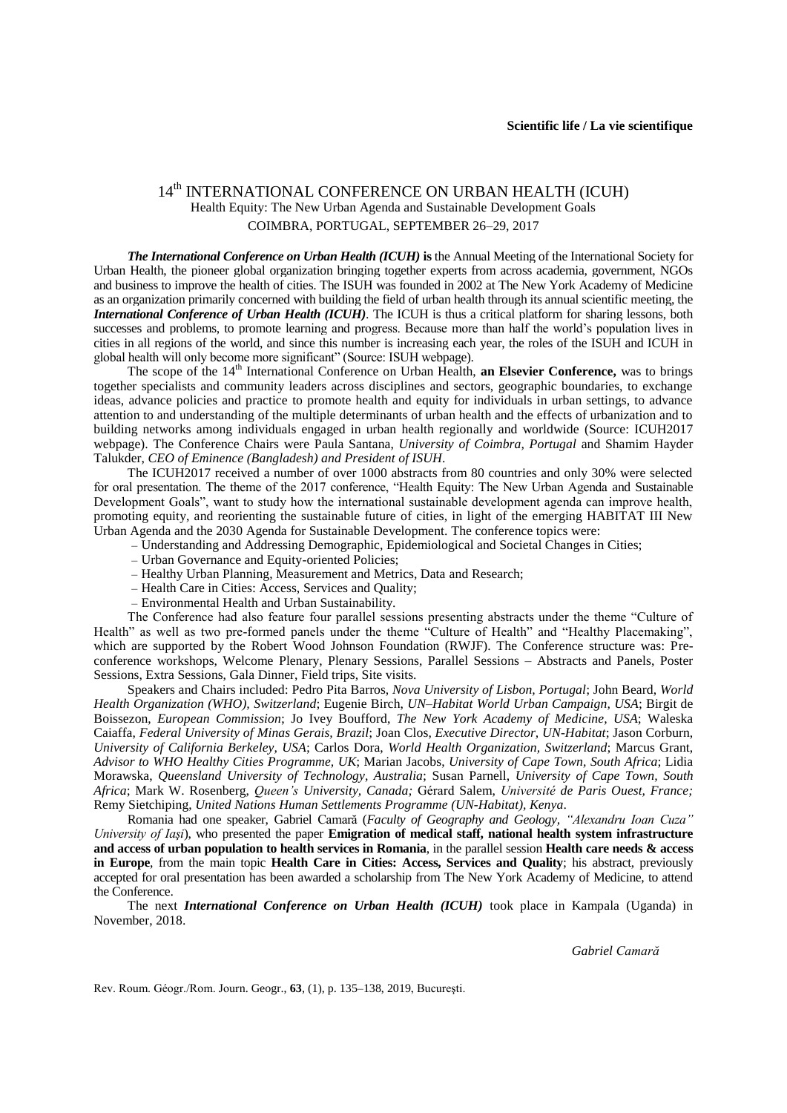## 14<sup>th</sup> INTERNATIONAL CONFERENCE ON URBAN HEALTH (ICUH) Health Equity: The New Urban Agenda and Sustainable Development Goals COIMBRA, PORTUGAL, SEPTEMBER 26–29, 2017

*The International Conference on Urban Health (ICUH)* **is** the Annual Meeting of the International Society for Urban Health, the pioneer global organization bringing together experts from across academia, government, NGOs and business to improve the health of cities. The ISUH was founded in 2002 at The New York Academy of Medicine as an organization primarily concerned with building the field of urban health through its annual scientific meeting, the *International Conference of Urban Health (ICUH)*. The ICUH is thus a critical platform for sharing lessons, both successes and problems, to promote learning and progress. Because more than half the world's population lives in cities in all regions of the world, and since this number is increasing each year, the roles of the ISUH and ICUH in global health will only become more significant" (Source: ISUH webpage).

The scope of the 14<sup>th</sup> International Conference on Urban Health, **an Elsevier Conference**, was to brings together specialists and community leaders across disciplines and sectors, geographic boundaries, to exchange ideas, advance policies and practice to promote health and equity for individuals in urban settings, to advance attention to and understanding of the multiple determinants of urban health and the effects of urbanization and to building networks among individuals engaged in urban health regionally and worldwide (Source: ICUH2017 webpage). The Conference Chairs were Paula [Santana,](http://faculty.uc.pt/uc34214/en) *University of Coimbra, Portugal* and [Shamim](http://www.icuh2017.org/bio-talukder.asp) Hayder [Talukder,](http://www.icuh2017.org/bio-talukder.asp) *CEO of Eminence (Bangladesh) and President of ISUH*.

The ICUH2017 received a number of over 1000 abstracts from 80 countries and only 30% were selected for oral presentation. The theme of the 2017 conference, "Health Equity: The New Urban Agenda and Sustainable Development Goals", want to study how the international sustainable development agenda can improve health, promoting equity, and reorienting the sustainable future of cities, in light of the emerging HABITAT III New Urban Agenda and the 2030 Agenda for Sustainable Development. The conference topics were:

- *–* Understanding and Addressing Demographic, Epidemiological and Societal Changes in Cities;
- *–* Urban Governance and Equity-oriented Policies;
- *–* Healthy Urban Planning, Measurement and Metrics, Data and Research;
- *–* Health Care in Cities: Access, Services and Quality;
- *–* Environmental Health and Urban Sustainability.

The Conference had also feature four parallel sessions presenting abstracts under the theme "Culture of Health" as well as two pre-formed panels under the theme "Culture of Health" and "Healthy Placemaking", which are supported by the Robert Wood Johnson Foundation (RWJF). The Conference structure was: Preconference workshops, Welcome Plenary, Plenary Sessions, Parallel Sessions – Abstracts and Panels, Poster Sessions, Extra Sessions, Gala Dinner, Field trips, Site visits.

Speakers and Chairs included: Pedro Pita [Barros,](http://www.icuh2017.org/bio-barros.asp) *Nova University of Lisbon, Portugal*; John [Beard,](http://www.icuh2017.org/bio-beard.asp) *World Health Organization (WHO), Switzerland*; [Eugenie](http://www.icuh2017.org/bio-birch.asp) Birch, *UN–Habitat World Urban Campaign, USA*; [Birgit](http://www.icuh2017.org/bio-boissezon.asp) de [Boissezon,](http://www.icuh2017.org/bio-boissezon.asp) *European Commission*; Jo Ivey [Boufford,](http://www.icuh2017.org/bio-boufford.asp) *The New York Academy of Medicine, USA*; [Waleska](http://www.icuh2017.org/bio-caiaffa.asp) [Caiaffa,](http://www.icuh2017.org/bio-caiaffa.asp) *Federal University of Minas Gerais, Brazil*; [Joan](http://www.icuh2017.org/bio-clos.asp) Clos, *Executive Director, UN-Habitat*; Jason [Corburn,](http://www.icuh2017.org/bio-corburn.asp) *University of California Berkeley, USA*; [Carlos](http://www.icuh2017.org/bio-dora.asp) Dora, *World Health Organization, Switzerland*; [Marcus](http://www.icuh2017.org/bio-grant.asp) Grant, *Advisor to WHO Healthy Cities Programme, UK*; [Marian](http://www.icuh2017.org/bio-jacobs.asp) Jacobs, *University of Cape Town, South Africa*; [Lidia](http://www.icuh2017.org/bio-morawska.asp) [Morawska,](http://www.icuh2017.org/bio-morawska.asp) *Queensland University of Technology, Australia*; Susan [Parnell,](http://www.icuh2017.org/bio-parnell.asp) *University of Cape Town, South Africa*; Mark W. [Rosenberg,](http://www.icuh2017.org/bio-rosenberg.asp) *Queen's University, Canada;* [Gérard](http://www.icuh2017.org/bio-salem.asp) Salem, *Université de Paris Ouest, France;* Remy [Sietchiping,](http://www.icuh2017.org/bio-sietchiping.asp) *United Nations Human Settlements Programme (UN-Habitat), Kenya*.

Romania had one speaker, Gabriel Camară (*Faculty of Geography and Geology, "Alexandru Ioan Cuza" University of Iaşi*), who presented the paper **Emigration of medical staff, national health system infrastructure and access of urban population to health services in Romania**, in the parallel session **Health care needs & access in Europe**, from the main topic **Health Care in Cities: Access, Services and Quality**; his abstract, previously accepted for oral presentation has been awarded a scholarship from The New York Academy of Medicine, to attend the Conference.

The next *International Conference on Urban Health (ICUH)* took place in Kampala (Uganda) in November, 2018.

*Gabriel Camară*

Rev. Roum. Géogr./Rom. Journ. Geogr., **63**, (1), p. 135–138, 2019, Bucureşti.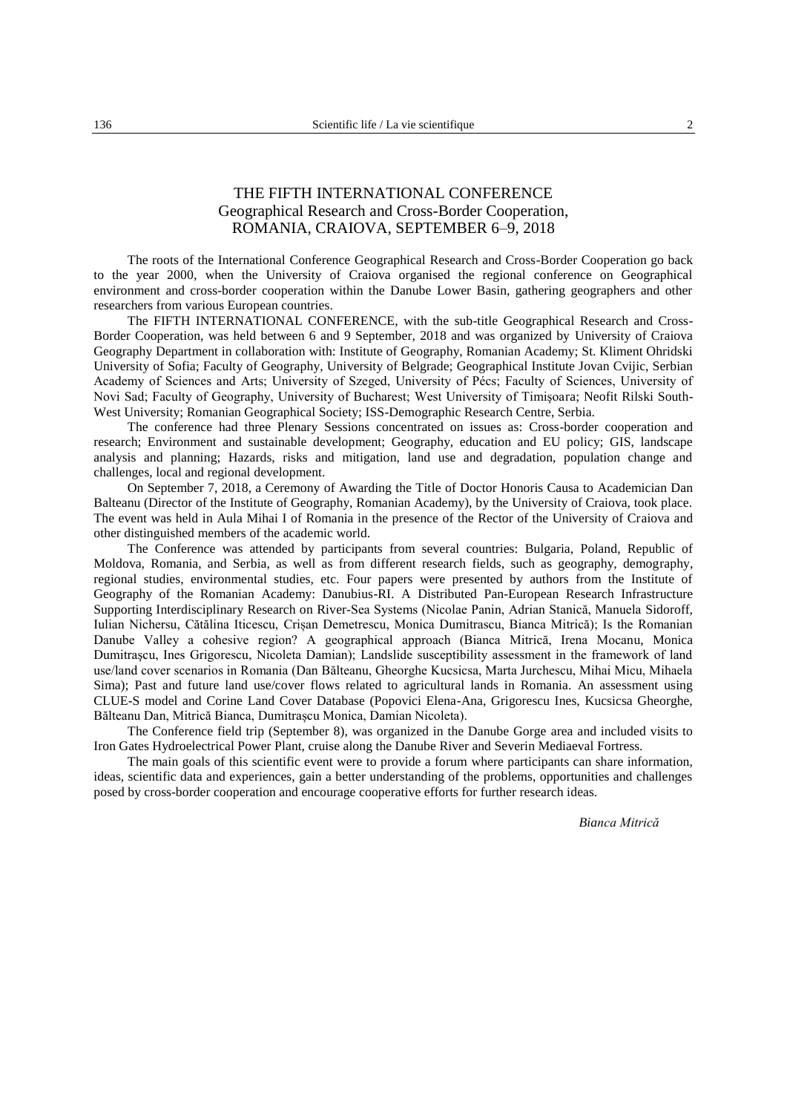## THE FIFTH INTERNATIONAL CONFERENCE Geographical Research and Cross-Border Cooperation, ROMANIA, CRAIOVA, SEPTEMBER 6–9, 2018

The roots of the International Conference Geographical Research and Cross-Border Cooperation go back to the year 2000, when the University of Craiova organised the regional conference on Geographical environment and cross-border cooperation within the Danube Lower Basin, gathering geographers and other researchers from various European countries.

The FIFTH INTERNATIONAL CONFERENCE, with the sub-title Geographical Research and Cross-Border Cooperation, was held between 6 and 9 September, 2018 and was organized by University of Craiova Geography Department in collaboration with: Institute of Geography, Romanian Academy; St. Kliment Ohridski University of Sofia; Faculty of Geography, University of Belgrade; Geographical Institute Jovan Cvijic, Serbian Academy of Sciences and Arts; University of Szeged, University of Pécs; Faculty of Sciences, University of Novi Sad; Faculty of Geography, University of Bucharest; West University of Timişoara; Neofit Rilski South-West University; Romanian Geographical Society; ISS-Demographic Research Centre, Serbia.

The conference had three Plenary Sessions concentrated on issues as: Cross-border cooperation and research; Environment and sustainable development; Geography, education and EU policy; GIS, landscape analysis and planning; Hazards, risks and mitigation, land use and degradation, population change and challenges, local and regional development.

On September 7, 2018, a Ceremony of Awarding the Title of Doctor Honoris Causa to Academician Dan Balteanu (Director of the Institute of Geography, Romanian Academy), by the University of Craiova, took place. The event was held in Aula Mihai I of Romania in the presence of the Rector of the University of Craiova and other distinguished members of the academic world.

The Conference was attended by participants from several countries: Bulgaria, Poland, Republic of Moldova, Romania, and Serbia, as well as from different research fields, such as geography, demography, regional studies, environmental studies, etc. Four papers were presented by authors from the Institute of Geography of the Romanian Academy: Danubius-RI. A Distributed Pan-European Research Infrastructure Supporting Interdisciplinary Research on River-Sea Systems (Nicolae Panin, Adrian Stanică, Manuela Sidoroff, Iulian Nichersu, Cătălina Iticescu, Crișan Demetrescu, Monica Dumitrascu, Bianca Mitrică); Is the Romanian Danube Valley a cohesive region? A geographical approach (Bianca Mitrică, Irena Mocanu, Monica Dumitraşcu, Ines Grigorescu, Nicoleta Damian); Landslide susceptibility assessment in the framework of land use/land cover scenarios in Romania (Dan Bălteanu, Gheorghe Kucsicsa, Marta Jurchescu, Mihai Micu, Mihaela Sima); Past and future land use/cover flows related to agricultural lands in Romania. An assessment using CLUE-S model and Corine Land Cover Database (Popovici Elena-Ana, Grigorescu Ines, Kucsicsa Gheorghe, Bălteanu Dan, Mitrică Bianca, Dumitrașcu Monica, Damian Nicoleta).

The Conference field trip (September 8), was organized in the Danube Gorge area and included visits to Iron Gates Hydroelectrical Power Plant, cruise along the Danube River and Severin Mediaeval Fortress.

The main goals of this scientific event were to provide a forum where participants can share information, ideas, scientific data and experiences, gain a better understanding of the problems, opportunities and challenges posed by cross-border cooperation and encourage cooperative efforts for further research ideas.

*Bianca Mitrică*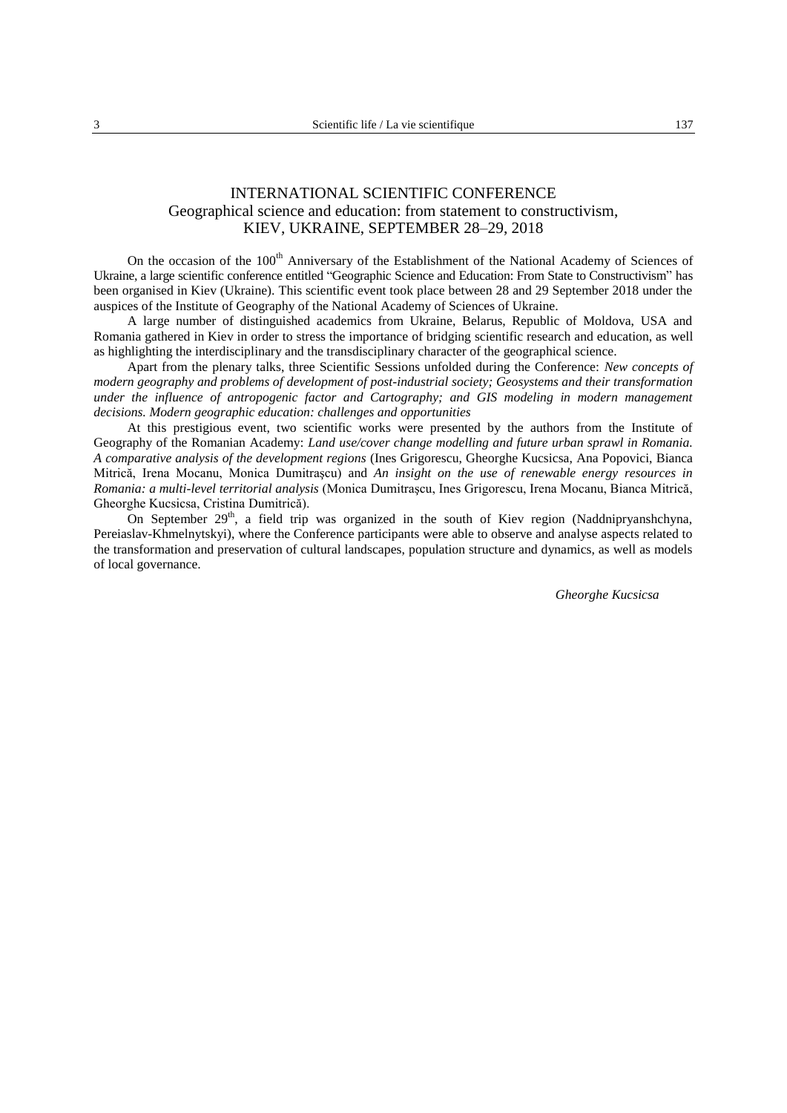## INTERNATIONAL SCIENTIFIC CONFERENCE Geographical science and education: from statement to constructivism, KIEV, UKRAINE, SEPTEMBER 28–29, 2018

On the occasion of the 100<sup>th</sup> Anniversary of the Establishment of the National Academy of Sciences of Ukraine, a large scientific conference entitled "Geographic Science and Education: From State to Constructivism" has been organised in Kiev (Ukraine). This scientific event took place between 28 and 29 September 2018 under the auspices of the Institute of Geography of the National Academy of Sciences of Ukraine.

A large number of distinguished academics from Ukraine, Belarus, Republic of Moldova, USA and Romania gathered in Kiev in order to stress the importance of bridging scientific research and education, as well as highlighting the interdisciplinary and the transdisciplinary character of the geographical science.

Apart from the plenary talks, three Scientific Sessions unfolded during the Conference: *New concepts of modern geography and problems of development of post-industrial society; Geosystems and their transformation under the influence of antropogenic factor and Cartography; and GIS modeling in modern management decisions. Modern geographic education: challenges and opportunities*

At this prestigious event, two scientific works were presented by the authors from the Institute of Geography of the Romanian Academy: *Land use/cover change modelling and future urban sprawl in Romania. A comparative analysis of the development regions* (Ines Grigorescu, Gheorghe Kucsicsa, Ana Popovici, Bianca Mitrică, Irena Mocanu, Monica Dumitraşcu) and *An insight on the use of renewable energy resources in Romania: a multi-level territorial analysis* (Monica Dumitraşcu, Ines Grigorescu, Irena Mocanu, Bianca Mitrică, Gheorghe Kucsicsa, Cristina Dumitrică).

On September 29<sup>th</sup>, a field trip was organized in the south of Kiev region (Naddnipryanshchyna, Pereiaslav-Khmelnytskyi), where the Conference participants were able to observe and analyse aspects related to the transformation and preservation of cultural landscapes, population structure and dynamics, as well as models of local governance.

*Gheorghe Kucsicsa*